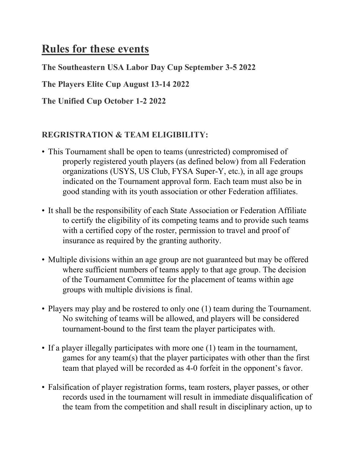# **Rules for these events**

**The Southeastern USA Labor Day Cup September 3-5 2022**

**The Players Elite Cup August 13-14 2022**

**The Unified Cup October 1-2 2022**

### **REGRISTRATION & TEAM ELIGIBILITY:**

- This Tournament shall be open to teams (unrestricted) compromised of properly registered youth players (as defined below) from all Federation organizations (USYS, US Club, FYSA Super-Y, etc.), in all age groups indicated on the Tournament approval form. Each team must also be in good standing with its youth association or other Federation affiliates.
- It shall be the responsibility of each State Association or Federation Affiliate to certify the eligibility of its competing teams and to provide such teams with a certified copy of the roster, permission to travel and proof of insurance as required by the granting authority.
- Multiple divisions within an age group are not guaranteed but may be offered where sufficient numbers of teams apply to that age group. The decision of the Tournament Committee for the placement of teams within age groups with multiple divisions is final.
- Players may play and be rostered to only one (1) team during the Tournament. No switching of teams will be allowed, and players will be considered tournament-bound to the first team the player participates with.
- If a player illegally participates with more one (1) team in the tournament, games for any team(s) that the player participates with other than the first team that played will be recorded as 4-0 forfeit in the opponent's favor.
- Falsification of player registration forms, team rosters, player passes, or other records used in the tournament will result in immediate disqualification of the team from the competition and shall result in disciplinary action, up to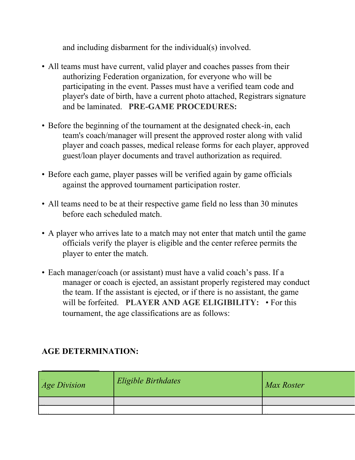and including disbarment for the individual(s) involved.

- All teams must have current, valid player and coaches passes from their authorizing Federation organization, for everyone who will be participating in the event. Passes must have a verified team code and player's date of birth, have a current photo attached, Registrars signature and be laminated. **PRE-GAME PROCEDURES:**
- Before the beginning of the tournament at the designated check-in, each team's coach/manager will present the approved roster along with valid player and coach passes, medical release forms for each player, approved guest/loan player documents and travel authorization as required.
- Before each game, player passes will be verified again by game officials against the approved tournament participation roster.
- All teams need to be at their respective game field no less than 30 minutes before each scheduled match.
- A player who arrives late to a match may not enter that match until the game officials verify the player is eligible and the center referee permits the player to enter the match.
- Each manager/coach (or assistant) must have a valid coach's pass. If a manager or coach is ejected, an assistant properly registered may conduct the team. If the assistant is ejected, or if there is no assistant, the game will be forfeited. **PLAYER AND AGE ELIGIBILITY:** • For this tournament, the age classifications are as follows:

#### **AGE DETERMINATION:**

| <b>Age Division</b> | Eligible Birthdates | Max Roster |
|---------------------|---------------------|------------|
|                     |                     |            |
|                     |                     |            |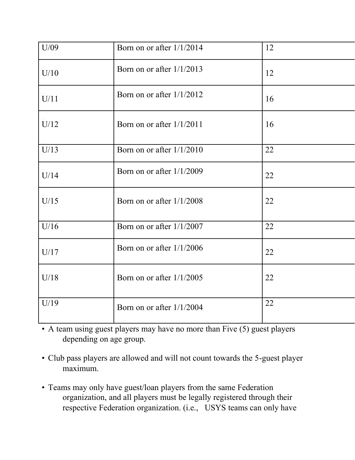| U/09 | Born on or after $1/1/2014$ | 12 |
|------|-----------------------------|----|
| U/10 | Born on or after $1/1/2013$ | 12 |
| U/11 | Born on or after $1/1/2012$ | 16 |
| U/12 | Born on or after $1/1/2011$ | 16 |
| U/13 | Born on or after $1/1/2010$ | 22 |
| U/14 | Born on or after 1/1/2009   | 22 |
| U/15 | Born on or after $1/1/2008$ | 22 |
| U/16 | Born on or after 1/1/2007   | 22 |
| U/17 | Born on or after $1/1/2006$ | 22 |
| U/18 | Born on or after $1/1/2005$ | 22 |
| U/19 | Born on or after $1/1/2004$ | 22 |

• A team using guest players may have no more than Five (5) guest players depending on age group.

- Club pass players are allowed and will not count towards the 5-guest player maximum.
- Teams may only have guest/loan players from the same Federation organization, and all players must be legally registered through their respective Federation organization. (i.e., USYS teams can only have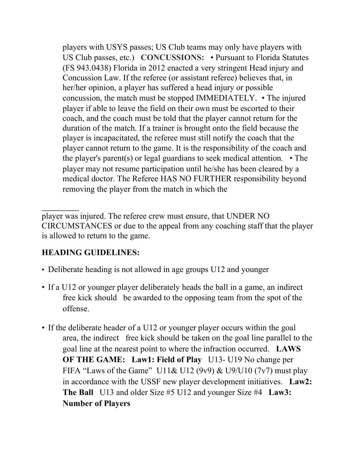players with USYS passes; US Club teams may only have players with US Club passes, etc.) **CONCUSSIONS:** • Pursuant to Florida Statutes (FS 943.0438) Florida in 2012 enacted a very stringent Head injury and Concussion Law. If the referee (or assistant referee) believes that, in her/her opinion, a player has suffered a head injury or possible concussion, the match must be stopped IMMEDIATELY. • The injured player if able to leave the field on their own must be escorted to their coach, and the coach must be told that the player cannot return for the duration of the match. If a trainer is brought onto the field because the player is incapacitated, the referee must still notify the coach that the player cannot return to the game. It is the responsibility of the coach and the player's parent(s) or legal guardians to seek medical attention. • The player may not resume participation until he/she has been cleared by a medical doctor. The Referee HAS NO FURTHER responsibility beyond removing the player from the match in which the

player was injured. The referee crew must ensure, that UNDER NO CIRCUMSTANCES or due to the appeal from any coaching staff that the player is allowed to return to the game.

#### **HEADING GUIDELINES:**

- Deliberate heading is not allowed in age groups U12 and younger
- If a U12 or younger player deliberately heads the ball in a game, an indirect free kick should be awarded to the opposing team from the spot of the offense.
- If the deliberate header of a U12 or younger player occurs within the goal area, the indirect free kick should be taken on the goal line parallel to the goal line at the nearest point to where the infraction occurred. **LAWS OF THE GAME:** Law1: Field of Play U13-U19 No change per FIFA "Laws of the Game" U11& U12 (9v9) & U9/U10 (7v7) must play in accordance with the USSF new player development initiatives. **Law2: The Ball** U13 and older Size #5 U12 and younger Size #4 **Law3: Number of Players**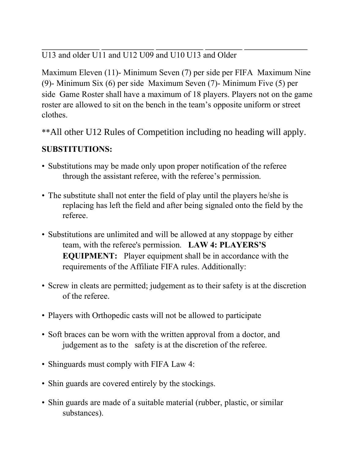U13 and older U11 and U12 U09 and U10 U13 and Older

Maximum Eleven (11)- Minimum Seven (7) per side per FIFA Maximum Nine (9)- Minimum Six (6) per side Maximum Seven (7)- Minimum Five (5) per side Game Roster shall have a maximum of 18 players. Players not on the game roster are allowed to sit on the bench in the team's opposite uniform or street clothes.

\*\*All other U12 Rules of Competition including no heading will apply.

# **SUBSTITUTIONS:**

- Substitutions may be made only upon proper notification of the referee through the assistant referee, with the referee's permission.
- The substitute shall not enter the field of play until the players he/she is replacing has left the field and after being signaled onto the field by the referee.
- Substitutions are unlimited and will be allowed at any stoppage by either team, with the referee's permission. **LAW 4: PLAYERS'S EQUIPMENT:** Player equipment shall be in accordance with the requirements of the Affiliate FIFA rules. Additionally:
- Screw in cleats are permitted; judgement as to their safety is at the discretion of the referee.
- Players with Orthopedic casts will not be allowed to participate
- Soft braces can be worn with the written approval from a doctor, and judgement as to the safety is at the discretion of the referee.
- Shinguards must comply with FIFA Law 4:
- Shin guards are covered entirely by the stockings.
- Shin guards are made of a suitable material (rubber, plastic, or similar substances).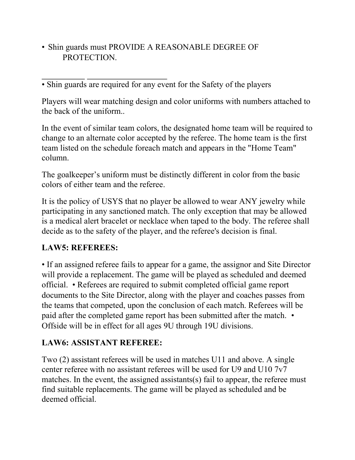• Shin guards must PROVIDE A REASONABLE DEGREE OF PROTECTION.

• Shin guards are required for any event for the Safety of the players

Players will wear matching design and color uniforms with numbers attached to the back of the uniform..

In the event of similar team colors, the designated home team will be required to change to an alternate color accepted by the referee. The home team is the first team listed on the schedule foreach match and appears in the "Home Team" column.

The goalkeeper's uniform must be distinctly different in color from the basic colors of either team and the referee.

It is the policy of USYS that no player be allowed to wear ANY jewelry while participating in any sanctioned match. The only exception that may be allowed is a medical alert bracelet or necklace when taped to the body. The referee shall decide as to the safety of the player, and the referee's decision is final.

### **LAW5: REFEREES:**

• If an assigned referee fails to appear for a game, the assignor and Site Director will provide a replacement. The game will be played as scheduled and deemed official. • Referees are required to submit completed official game report documents to the Site Director, along with the player and coaches passes from the teams that competed, upon the conclusion of each match. Referees will be paid after the completed game report has been submitted after the match. • Offside will be in effect for all ages 9U through 19U divisions.

# **LAW6: ASSISTANT REFEREE:**

Two (2) assistant referees will be used in matches U11 and above. A single center referee with no assistant referees will be used for U9 and U10 7v7 matches. In the event, the assigned assistants(s) fail to appear, the referee must find suitable replacements. The game will be played as scheduled and be deemed official.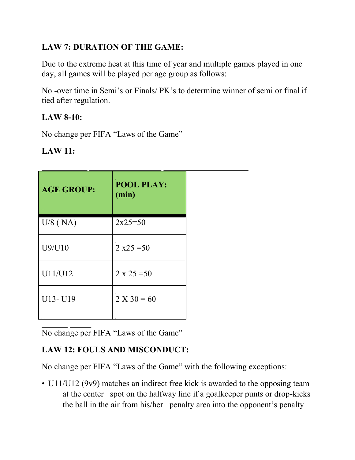# **LAW 7: DURATION OF THE GAME:**

Due to the extreme heat at this time of year and multiple games played in one day, all games will be played per age group as follows:

No -over time in Semi's or Finals/ PK's to determine winner of semi or final if tied after regulation.

### **LAW 8-10:**

No change per FIFA "Laws of the Game"

| $LAW$ 11: |  |
|-----------|--|
|-----------|--|

| <b>AGE GROUP:</b> | <b>POOL PLAY:</b><br>(min) |  |
|-------------------|----------------------------|--|
| $U/8$ (NA)        | $2x25=50$                  |  |
| U9/U10            | $2 x25 = 50$               |  |
| U11/U12           | $2 \times 25 = 50$         |  |
| U13-U19           | $2 X 30 = 60$              |  |

No change per FIFA "Laws of the Game"

# **LAW 12: FOULS AND MISCONDUCT:**

No change per FIFA "Laws of the Game" with the following exceptions:

• U11/U12 (9v9) matches an indirect free kick is awarded to the opposing team at the center spot on the halfway line if a goalkeeper punts or drop-kicks the ball in the air from his/her penalty area into the opponent's penalty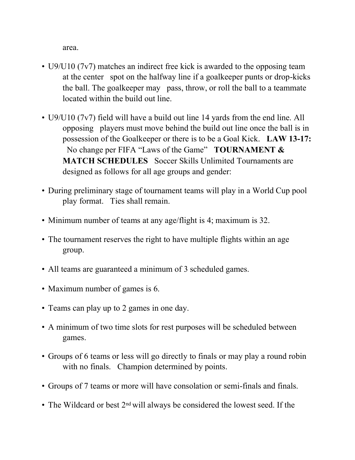area.

- U9/U10 (7v7) matches an indirect free kick is awarded to the opposing team at the center spot on the halfway line if a goalkeeper punts or drop-kicks the ball. The goalkeeper may pass, throw, or roll the ball to a teammate located within the build out line.
- U9/U10 (7v7) field will have a build out line 14 yards from the end line. All opposing players must move behind the build out line once the ball is in possession of the Goalkeeper or there is to be a Goal Kick. **LAW 13-17:**  No change per FIFA "Laws of the Game" **TOURNAMENT & MATCH SCHEDULES** Soccer Skills Unlimited Tournaments are designed as follows for all age groups and gender:
- During preliminary stage of tournament teams will play in a World Cup pool play format. Ties shall remain.
- Minimum number of teams at any age/flight is 4; maximum is 32.
- The tournament reserves the right to have multiple flights within an age group.
- All teams are guaranteed a minimum of 3 scheduled games.
- Maximum number of games is 6.
- Teams can play up to 2 games in one day.
- A minimum of two time slots for rest purposes will be scheduled between games.
- Groups of 6 teams or less will go directly to finals or may play a round robin with no finals. Champion determined by points.
- Groups of 7 teams or more will have consolation or semi-finals and finals.
- The Wildcard or best 2<sup>nd</sup> will always be considered the lowest seed. If the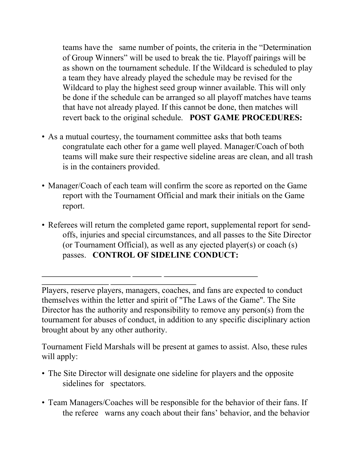teams have the same number of points, the criteria in the "Determination of Group Winners" will be used to break the tie. Playoff pairings will be as shown on the tournament schedule. If the Wildcard is scheduled to play a team they have already played the schedule may be revised for the Wildcard to play the highest seed group winner available. This will only be done if the schedule can be arranged so all playoff matches have teams that have not already played. If this cannot be done, then matches will revert back to the original schedule. **POST GAME PROCEDURES:** 

- As a mutual courtesy, the tournament committee asks that both teams congratulate each other for a game well played. Manager/Coach of both teams will make sure their respective sideline areas are clean, and all trash is in the containers provided.
- Manager/Coach of each team will confirm the score as reported on the Game report with the Tournament Official and mark their initials on the Game report.
- Referees will return the completed game report, supplemental report for sendoffs, injuries and special circumstances, and all passes to the Site Director (or Tournament Official), as well as any ejected player(s) or coach (s) passes. **CONTROL OF SIDELINE CONDUCT:**

Players, reserve players, managers, coaches, and fans are expected to conduct themselves within the letter and spirit of "The Laws of the Game". The Site Director has the authority and responsibility to remove any person(s) from the tournament for abuses of conduct, in addition to any specific disciplinary action brought about by any other authority.

Tournament Field Marshals will be present at games to assist. Also, these rules will apply:

- The Site Director will designate one sideline for players and the opposite sidelines for spectators.
- Team Managers/Coaches will be responsible for the behavior of their fans. If the referee warns any coach about their fans' behavior, and the behavior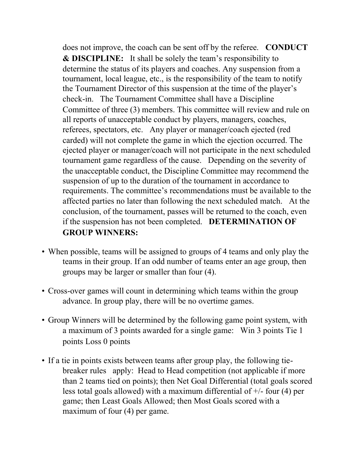does not improve, the coach can be sent off by the referee. **CONDUCT & DISCIPLINE:** It shall be solely the team's responsibility to determine the status of its players and coaches. Any suspension from a tournament, local league, etc., is the responsibility of the team to notify the Tournament Director of this suspension at the time of the player's check-in. The Tournament Committee shall have a Discipline Committee of three (3) members. This committee will review and rule on all reports of unacceptable conduct by players, managers, coaches, referees, spectators, etc. Any player or manager/coach ejected (red carded) will not complete the game in which the ejection occurred. The ejected player or manager/coach will not participate in the next scheduled tournament game regardless of the cause. Depending on the severity of the unacceptable conduct, the Discipline Committee may recommend the suspension of up to the duration of the tournament in accordance to requirements. The committee's recommendations must be available to the affected parties no later than following the next scheduled match. At the conclusion, of the tournament, passes will be returned to the coach, even if the suspension has not been completed. **DETERMINATION OF GROUP WINNERS:** 

- When possible, teams will be assigned to groups of 4 teams and only play the teams in their group. If an odd number of teams enter an age group, then groups may be larger or smaller than four (4).
- Cross-over games will count in determining which teams within the group advance. In group play, there will be no overtime games.
- Group Winners will be determined by the following game point system, with a maximum of 3 points awarded for a single game: Win 3 points Tie 1 points Loss 0 points
- If a tie in points exists between teams after group play, the following tiebreaker rules apply: Head to Head competition (not applicable if more than 2 teams tied on points); then Net Goal Differential (total goals scored less total goals allowed) with a maximum differential of +/- four (4) per game; then Least Goals Allowed; then Most Goals scored with a maximum of four (4) per game.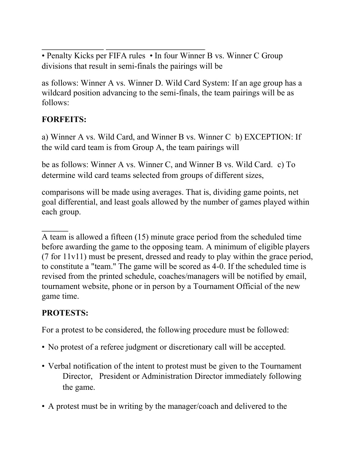• Penalty Kicks per FIFA rules • In four Winner B vs. Winner C Group divisions that result in semi-finals the pairings will be

as follows: Winner A vs. Winner D. Wild Card System: If an age group has a wildcard position advancing to the semi-finals, the team pairings will be as follows:

### **FORFEITS:**

a) Winner A vs. Wild Card, and Winner B vs. Winner C b) EXCEPTION: If the wild card team is from Group A, the team pairings will

be as follows: Winner A vs. Winner C, and Winner B vs. Wild Card. c) To determine wild card teams selected from groups of different sizes,

comparisons will be made using averages. That is, dividing game points, net goal differential, and least goals allowed by the number of games played within each group.

A team is allowed a fifteen (15) minute grace period from the scheduled time before awarding the game to the opposing team. A minimum of eligible players (7 for 11v11) must be present, dressed and ready to play within the grace period, to constitute a "team." The game will be scored as 4-0. If the scheduled time is revised from the printed schedule, coaches/managers will be notified by email, tournament website, phone or in person by a Tournament Official of the new game time.

### **PROTESTS:**

For a protest to be considered, the following procedure must be followed:

- No protest of a referee judgment or discretionary call will be accepted.
- Verbal notification of the intent to protest must be given to the Tournament Director, President or Administration Director immediately following the game.
- A protest must be in writing by the manager/coach and delivered to the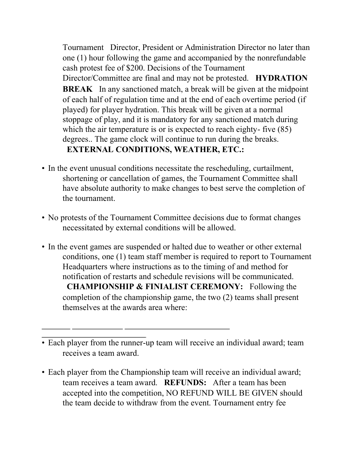Tournament Director, President or Administration Director no later than one (1) hour following the game and accompanied by the nonrefundable cash protest fee of \$200. Decisions of the Tournament Director/Committee are final and may not be protested. **HYDRATION BREAK** In any sanctioned match, a break will be given at the midpoint of each half of regulation time and at the end of each overtime period (if played) for player hydration. This break will be given at a normal stoppage of play, and it is mandatory for any sanctioned match during which the air temperature is or is expected to reach eighty- five (85) degrees.. The game clock will continue to run during the breaks. **EXTERNAL CONDITIONS, WEATHER, ETC.:** 

- In the event unusual conditions necessitate the rescheduling, curtailment, shortening or cancellation of games, the Tournament Committee shall have absolute authority to make changes to best serve the completion of the tournament.
- No protests of the Tournament Committee decisions due to format changes necessitated by external conditions will be allowed.
- In the event games are suspended or halted due to weather or other external conditions, one (1) team staff member is required to report to Tournament Headquarters where instructions as to the timing of and method for notification of restarts and schedule revisions will be communicated. **CHAMPIONSHIP & FINIALIST CEREMONY:** Following the completion of the championship game, the two (2) teams shall present themselves at the awards area where:

• Each player from the Championship team will receive an individual award; team receives a team award. **REFUNDS:** After a team has been accepted into the competition, NO REFUND WILL BE GIVEN should the team decide to withdraw from the event. Tournament entry fee

<sup>•</sup> Each player from the runner-up team will receive an individual award; team receives a team award.